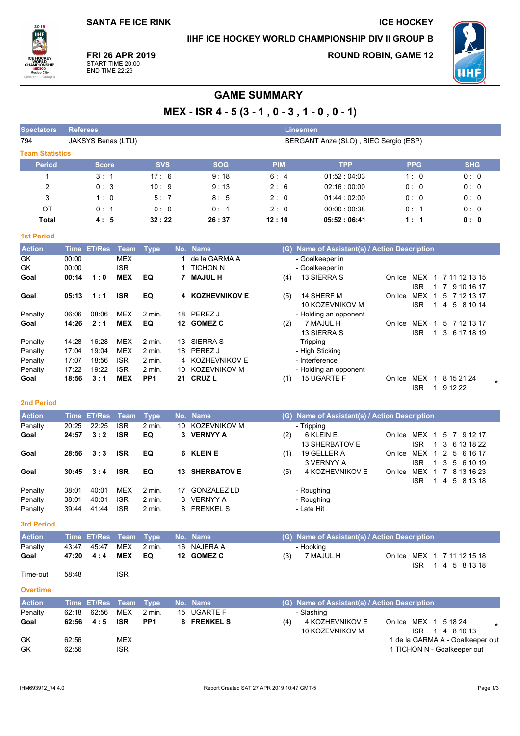## IIHF ICE HOCKEY WORLD CHAMPIONSHIP DIV II GROUP B

**ICE HOCKEY** 



FRI 26 APR 2019 START TIME 20:00<br>END TIME 22:29

**ROUND ROBIN, GAME 12** 



# **GAME SUMMARY**

MEX - ISR  $4 - 5(3 - 1, 0 - 3, 1 - 0, 0 - 1)$ 

| <b>Spectators</b>      | <b>Referees</b> |                    |                          |                           |          |                              |            | Linesmen                                      |                                              |                                                 |
|------------------------|-----------------|--------------------|--------------------------|---------------------------|----------|------------------------------|------------|-----------------------------------------------|----------------------------------------------|-------------------------------------------------|
| 794                    |                 | JAKSYS Benas (LTU) |                          |                           |          |                              |            | BERGANT Anze (SLO), BIEC Sergio (ESP)         |                                              |                                                 |
| <b>Team Statistics</b> |                 |                    |                          |                           |          |                              |            |                                               |                                              |                                                 |
| <b>Period</b>          |                 | <b>Score</b>       |                          | <b>SVS</b>                |          | <b>SOG</b>                   | <b>PIM</b> | <b>TPP</b>                                    | <b>PPG</b>                                   | <b>SHG</b>                                      |
| $\mathbf{1}$           |                 | 3:1                |                          | 17:6                      |          | 9:18                         | 6:4        | 01.52 04:03                                   | 1:0                                          | 0:0                                             |
| $\overline{c}$         |                 | 0:3                |                          | 10:9                      |          | 9:13                         | 2:6        | 02:16:00:00                                   | 0: 0                                         | 0:0                                             |
| 3                      |                 | 1:0                |                          | 5:7                       |          | 8:5                          | 2:0        | 01:44 : 02:00                                 | 0:0                                          | 0:0                                             |
| OT                     |                 | 0:1                |                          | 0:0                       |          | 0:1                          | 2:0        | 00:00:00:38                                   | 0: 1                                         | 0:0                                             |
| <b>Total</b>           |                 | 4:5                |                          | 32:22                     |          | 26:37                        | 12:10      | 05:52:06:41                                   | 1:1                                          | 0: 0                                            |
| <b>1st Period</b>      |                 |                    |                          |                           |          |                              |            |                                               |                                              |                                                 |
| <b>Action</b>          | <b>Time</b>     | <b>ET/Res</b>      | Team                     | <b>Type</b>               | No.      | <b>Name</b>                  |            | (G) Name of Assistant(s) / Action Description |                                              |                                                 |
| GK                     | 00:00           |                    | <b>MEX</b>               |                           | 1        | de la GARMA A                |            | - Goalkeeper in                               |                                              |                                                 |
| GK                     | 00:00           |                    | <b>ISR</b>               |                           | 1        | <b>TICHON N</b>              |            | - Goalkeeper in                               |                                              |                                                 |
| Goal                   | 00:14           | 1:0                | <b>MEX</b>               | EQ                        |          | 7 MAJUL H                    | (4)        | 13 SIERRA S                                   | On Ice MEX 1 7 11 12 13 15                   |                                                 |
|                        |                 |                    |                          |                           |          |                              |            |                                               | <b>ISR</b><br>$\mathbf{1}$                   | 7 9 10 16 17                                    |
| Goal                   | 05:13           | 1:1                | <b>ISR</b>               | EQ                        |          | <b>4 KOZHEVNIKOV E</b>       | (5)        | 14 SHERF M<br>10 KOZEVNIKOV M                 | On Ice MEX<br>$\overline{1}$<br><b>ISR</b>   | 5 7 12 13 17<br>1 4 5 8 10 14                   |
| Penalty                | 06:06           | 08:06              | <b>MEX</b>               | 2 min.                    | 18       | PEREZ J                      |            | - Holding an opponent                         |                                              |                                                 |
| Goal                   | 14:26           | 2:1                | <b>MEX</b>               | EQ                        |          | 12 GOMEZ C                   | (2)        | 7 MAJUL H                                     | On Ice MEX<br>$\overline{1}$                 | 5 7 12 13 17                                    |
|                        |                 |                    |                          |                           |          |                              |            | 13 SIERRA S                                   | <b>ISR</b><br>$\mathbf{1}$                   | 3 6 17 18 19                                    |
| Penalty                | 14:28           | 16:28              | MEX                      | 2 min.                    |          | 13 SIERRA S                  |            | - Tripping                                    |                                              |                                                 |
| Penalty                | 17:04           | 19:04              | <b>MEX</b>               | 2 min.                    | 18       | <b>PEREZ J</b>               |            | - High Sticking                               |                                              |                                                 |
| Penalty                | 17:07           | 18:56              | <b>ISR</b>               | 2 min.                    | 4        | KOZHEVNIKOV E                |            | - Interference                                |                                              |                                                 |
| Penalty<br>Goal        | 17:22<br>18:56  | 19:22<br>3:1       | <b>ISR</b><br><b>MEX</b> | 2 min.<br>PP <sub>1</sub> | 10<br>21 | KOZEVNIKOV M<br><b>CRUZL</b> |            | - Holding an opponent<br>15 UGARTE F          | On Ice MEX                                   | 1 8 15 21 24                                    |
|                        |                 |                    |                          |                           |          |                              | (1)        |                                               | <b>ISR</b>                                   | 1 9 12 22                                       |
| <b>2nd Period</b>      |                 |                    |                          |                           |          |                              |            |                                               |                                              |                                                 |
| <b>Action</b>          | <b>Time</b>     | <b>ET/Res</b>      | <b>Team</b>              | <b>Type</b>               | No.      | <b>Name</b>                  |            | (G) Name of Assistant(s) / Action Description |                                              |                                                 |
| Penalty                | 20:25           | 22:25              | <b>ISR</b>               | 2 min.                    | 10       | KOZEVNIKOV M                 |            | - Tripping                                    |                                              |                                                 |
| Goal                   | 24:57           | 3:2                | <b>ISR</b>               | EQ                        |          | 3 VERNYY A                   | (2)        | 6 KLEIN E                                     | On Ice MEX 1                                 | 5<br>7 9 12 17                                  |
|                        |                 |                    |                          |                           |          |                              |            | 13 SHERBATOV E                                | <b>ISR</b><br>$\mathbf{1}$                   | 3<br>6 13 18 22                                 |
| Goal                   | 28:56           | 3:3                | <b>ISR</b>               | EQ                        | 6        | <b>KLEIN E</b>               | (1)        | 19 GELLER A                                   | On Ice MEX 1 2 5 6 16 17                     |                                                 |
|                        |                 |                    |                          |                           |          |                              |            | 3 VERNYY A                                    | <b>ISR</b>                                   | 1 3 5 6 10 19                                   |
| Goal                   | 30:45           | 3:4                | <b>ISR</b>               | EQ                        |          | 13 SHERBATOV E               | (5)        | 4 KOZHEVNIKOV E                               | On Ice MEX 1 7 8 13 16 23<br><b>ISR</b><br>1 | 4<br>5 8 13 18                                  |
| Penalty                | 38:01           | 40:01              | <b>MEX</b>               | 2 min.                    | 17       | <b>GONZALEZ LD</b>           |            | - Roughing                                    |                                              |                                                 |
| Penalty                | 38:01           | 40:01              | <b>ISR</b>               | 2 min.                    | 3        | <b>VERNYY A</b>              |            | - Roughing                                    |                                              |                                                 |
| Penalty                | 39:44           | 41:44              | <b>ISR</b>               | 2 min.                    | 8        | <b>FRENKEL S</b>             |            | - Late Hit                                    |                                              |                                                 |
| <b>3rd Period</b>      |                 |                    |                          |                           |          |                              |            |                                               |                                              |                                                 |
| <b>Action</b>          |                 | Time ET/Res        | Team                     | <b>Type</b>               |          | No. Name                     |            | (G) Name of Assistant(s) / Action Description |                                              |                                                 |
| Penalty                | 43:47           | 45:47              | <b>MEX</b>               | 2 min.                    |          | 16 NAJERA A                  |            | - Hooking                                     |                                              |                                                 |
| Goal                   | 47:20           | 4:4                | <b>MEX</b>               | EQ                        |          | 12 GOMEZ C                   | (3)        | 7 MAJUL H                                     | On Ice MEX 1 7 11 12 15 18                   |                                                 |
| Time-out               | 58:48           |                    | <b>ISR</b>               |                           |          |                              |            |                                               | <b>ISR</b><br>$\mathbf{1}$                   | 4 5 8 13 18                                     |
|                        |                 |                    |                          |                           |          |                              |            |                                               |                                              |                                                 |
| <b>Overtime</b>        |                 |                    |                          |                           |          |                              |            |                                               |                                              |                                                 |
| <b>Action</b>          |                 | Time ET/Res        | <b>Team</b>              | <b>Type</b>               |          | No. Name                     |            | (G) Name of Assistant(s) / Action Description |                                              |                                                 |
| Penalty                | 62:18           | 62:56              | MEX                      | 2 min.                    | 15       | <b>UGARTE F</b>              |            | - Slashing                                    |                                              |                                                 |
| Goal                   | 62:56           | 4:5                | <b>ISR</b>               | PP1                       |          | 8 FRENKEL S                  | (4)        | 4 KOZHEVNIKOV E                               | On Ice MEX 1 5 18 24<br><b>ISR</b>           |                                                 |
| GK                     | 62:56           |                    | <b>MEX</b>               |                           |          |                              |            | 10 KOZEVNIKOV M                               |                                              | 1 4 8 10 13<br>1 de la GARMA A - Goalkeeper out |
| GK                     | 62:56           |                    | <b>ISR</b>               |                           |          |                              |            |                                               | 1 TICHON N - Goalkeeper out                  |                                                 |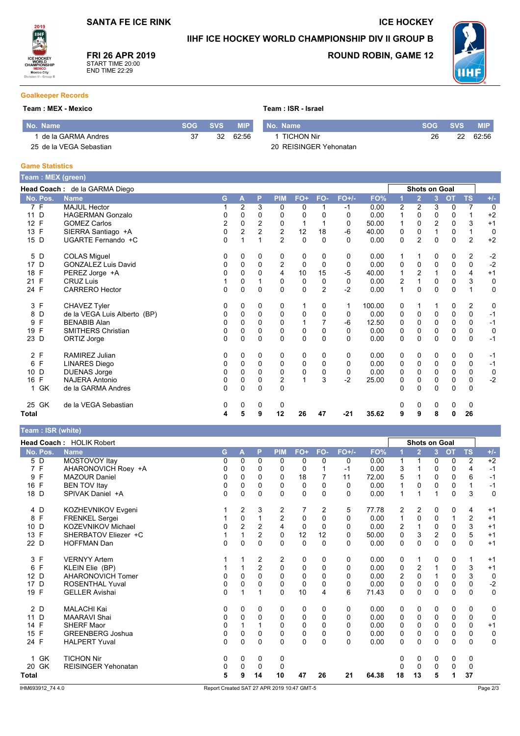### IIHF ICE HOCKEY WORLD CHAMPIONSHIP DIV II GROUP B

Team: ISR - Israel



FRI 26 APR 2019 START TIME 20:00<br>END TIME 22:29

## **ROUND ROBIN, GAME 12**

**ICE HOCKEY** 



### **Goalkeeper Records**

### Team: MEX - Mexico

| No. Name                | SOG SVS | <b>MIP</b> | I No. Name             |    | SOG SVS | <b>MIP</b> |
|-------------------------|---------|------------|------------------------|----|---------|------------|
| de la GARMA Andres      | 32      | 62.56      | 1 TICHON Nir           | 26 | 22      | 62:56      |
| 25 de la VEGA Sebastian |         |            | 20 REISINGER Yehonatan |    |         |            |

### **Game Statistics**

Team : ISR (white)

| Team: MEX (green)               |                              |   |                |                      |                |              |                |          |        |                  |                |                |             |                |             |
|---------------------------------|------------------------------|---|----------------|----------------------|----------------|--------------|----------------|----------|--------|------------------|----------------|----------------|-------------|----------------|-------------|
| Head Coach: de la GARMA Diego   |                              |   |                | <b>Shots on Goal</b> |                |              |                |          |        |                  |                |                |             |                |             |
| No. Pos.                        | <b>Name</b>                  | G | Α              | P                    | <b>PIM</b>     | FO+          | FO-            | $FO+/-$  | FO%    |                  | $\overline{2}$ | 3 <sup>1</sup> | <b>OT</b>   | <b>TS</b>      | $+/-$       |
| 7 F                             | <b>MAJUL Hector</b>          |   | $\overline{2}$ | 3                    | 0              | 0            |                | $-1$     | 0.00   | 2                | 2              | 3              | 0           | $\overline{7}$ | $\mathbf 0$ |
| D<br>11                         | <b>HAGERMAN Gonzalo</b>      | 0 | 0              | 0                    | 0              | 0            | 0              | $\Omega$ | 0.00   |                  | 0              | 0              | 0           |                | $+2$        |
| $\mathsf{F}$<br>12 <sup>°</sup> | <b>GOMEZ Carlos</b>          | 2 | $\mathbf 0$    | 2                    | 0              | 1            |                | 0        | 50.00  |                  | 0              | $\overline{2}$ | $\mathbf 0$ | 3              | $+1$        |
| F<br>13                         | SIERRA Santiago +A           | 0 | $\overline{2}$ | $\overline{2}$       | $\overline{c}$ | 12           | 18             | $-6$     | 40.00  | 0                | 0              | 1              | $\mathbf 0$ | $\mathbf{1}$   | $\mathbf 0$ |
| D<br>15                         | UGARTE Fernando +C           | 0 |                |                      | $\overline{2}$ | $\Omega$     | $\Omega$       | $\Omega$ | 0.00   | 0                | $\overline{2}$ | $\mathbf 0$    | $\Omega$    | $\overline{2}$ | $+2$        |
| D<br>5                          | <b>COLAS Miguel</b>          | 0 | $\Omega$       | 0                    | 0              | 0            | 0              | $\Omega$ | 0.00   |                  |                | 0              | 0           | $\overline{2}$ | $-2$        |
| D<br>17                         | <b>GONZALEZ Luis David</b>   | 0 | 0              | $\mathbf 0$          | 2              | $\mathbf 0$  | $\mathbf 0$    | 0        | 0.00   | 0                | 0              | 0              | $\mathbf 0$ | $\mathbf 0$    | $-2$        |
| F<br>18                         | PEREZ Jorge +A               | 0 | $\Omega$       | $\Omega$             | $\overline{4}$ | 10           | 15             | $-5$     | 40.00  | 1                | 2              | 1              | $\Omega$    | 4              | $+1$        |
| F<br>21                         | <b>CRUZ Luis</b>             |   | 0              |                      | 0              | 0            | 0              | 0        | 0.00   | $\boldsymbol{2}$ |                | 0              | 0           | 3              | 0           |
| 24 F                            | <b>CARRERO</b> Hector        | 0 | $\Omega$       | $\Omega$             | $\Omega$       | $\mathbf 0$  | $\overline{2}$ | $-2$     | 0.00   | 1                | $\Omega$       | $\Omega$       | $\Omega$    | $\mathbf 1$    | 0           |
| 3 F                             | CHAVEZ Tyler                 | 0 | $\Omega$       | 0                    | 0              | 1            | 0              | 1        | 100.00 | 0                | 1              | 1              | 0           | $\overline{2}$ | 0           |
| D<br>8                          | de la VEGA Luis Alberto (BP) | 0 | 0              | 0                    | 0              | 0            | 0              | 0        | 0.00   | 0                | 0              | 0              | 0           | 0              | $-1$        |
| F<br>9                          | <b>BENABIB Alan</b>          | 0 | $\Omega$       | $\Omega$             | 0              | $\mathbf{1}$ |                | $-6$     | 12.50  | 0                | $\Omega$       | $\Omega$       | 0           | 0              | $-1$        |
| F<br>19                         | <b>SMITHERS Christian</b>    | 0 | 0              | 0                    | 0              | 0            | 0              | 0        | 0.00   | 0                | 0              | 0              | 0           | 0              | 0           |
| D<br>23                         | ORTIZ Jorge                  | 0 | $\Omega$       | $\Omega$             | $\Omega$       | 0            | $\Omega$       | $\Omega$ | 0.00   | 0                | $\Omega$       | 0              | $\Omega$    | $\mathbf 0$    | $-1$        |
| 2 F                             | RAMIREZ Julian               | 0 | $\Omega$       | $\Omega$             | 0              | 0            | 0              | $\Omega$ | 0.00   | 0                | 0              | 0              | 0           | 0              | $-1$        |
| F<br>6                          | <b>LINARES Diego</b>         | 0 | 0              | 0                    | 0              | 0            | 0              | 0        | 0.00   | 0                | 0              | 0              | 0           | 0              | $-1$        |
| D<br>10                         | <b>DUENAS Jorge</b>          | 0 | $\Omega$       | $\Omega$             | $\Omega$       | 0            | $\Omega$       | $\Omega$ | 0.00   | $\Omega$         | $\Omega$       | $\Omega$       | $\Omega$    | $\mathbf 0$    | 0           |
| F<br>16                         | <b>NAJERA Antonio</b>        | 0 | 0              | 0                    | 2              |              | 3              | $-2$     | 25.00  | 0                | 0              | 0              | 0           | 0              | $-2$        |
| 1 GK                            | de la GARMA Andres           | 0 | $\Omega$       | $\Omega$             | $\Omega$       |              |                |          |        | $\Omega$         | 0              | 0              | $\Omega$    | $\Omega$       |             |
| 25 GK                           | de la VEGA Sebastian         | 0 | 0              | 0                    | 0              |              |                |          |        | 0                | 0              | 0              | 0           | 0              |             |
| Total                           |                              | 4 | 5              | 9                    | 12             | 26           | 47             | $-21$    | 35.62  | 9                | 9              | 8              | 0           | 26             |             |

|                   | <b>Head Coach: HOLIK Robert</b> |          |          |                |                |             |              |          |       |                | <b>Shots on Goal</b> |                |             |                |             |
|-------------------|---------------------------------|----------|----------|----------------|----------------|-------------|--------------|----------|-------|----------------|----------------------|----------------|-------------|----------------|-------------|
| No. Pos.          | <b>Name</b>                     | G        | A        | P              | <b>PIM</b>     | $FO+$       | FO-          | $FO+/-$  | FO%   |                | $\overline{2}$       | 3 <sup>1</sup> | <b>OT</b>   | <b>TS</b>      | $+/-$       |
| 5 D               | MOSTOVOY Itay                   | 0        | $\Omega$ | $\Omega$       | $\mathbf{0}$   | 0           | 0            | 0        | 0.00  | $\mathbf{1}$   | 1                    | 0              | 0           | $\overline{2}$ | $+2$        |
| 7 F               | AHARONOVICH Roey +A             | 0        | 0        | 0              | 0              | $\Omega$    |              | -1       | 0.00  | 3              | 1                    | 0              | $\Omega$    | 4              | $-1$        |
| F<br>9            | <b>MAZOUR Daniel</b>            | 0        | 0        | $\Omega$       | 0              | 18          |              | 11       | 72.00 | 5              | 1                    | 0              | 0           | 6              | $-1$        |
| 16 F              | <b>BEN TOV Itay</b>             | 0        | $\Omega$ | $\Omega$       | $\Omega$       | $\mathbf 0$ | 0            | $\Omega$ | 0.00  | 1              | 0                    | $\Omega$       | $\mathbf 0$ | $\mathbf{1}$   | $-1$        |
| 18 D              | SPIVAK Daniel +A                | 0        | 0        | $\mathbf 0$    | $\Omega$       | 0           | $\Omega$     | 0        | 0.00  | 1              |                      |                | $\mathbf 0$ | 3              | $\mathbf 0$ |
| 4 D               | KOZHEVNIKOV Evgeni              |          | 2        | 3              | 2              | 7           | 2            | 5        | 77.78 | 2              | 2                    | 0              | 0           | 4              | $+1$        |
| 8 F               | <b>FRENKEL Sergei</b>           |          | 0        |                | $\overline{2}$ | 0           | $\Omega$     | 0        | 0.00  | 1              | 0                    | 0              | 1           | $\overline{2}$ | $+1$        |
| D<br>10           | <b>KOZEVNIKOV Michael</b>       | 0        | 2        | $\overline{2}$ | 4              | $\mathbf 0$ | $\Omega$     | 0        | 0.00  | $\overline{c}$ | $\mathbf{1}$         | $\mathbf 0$    | 0           | 3              | $+1$        |
| F<br>13           | SHERBATOV Eliezer +C            |          | 1        | $\overline{2}$ | $\mathbf 0$    | 12          | 12           | 0        | 50.00 | 0              | 3                    | $\overline{2}$ | $\mathbf 0$ | 5              | $+1$        |
| 22 D              | <b>HOFFMAN Dan</b>              | 0        | 0        | $\Omega$       | $\Omega$       | $\mathbf 0$ | 0            | 0        | 0.00  | $\mathbf 0$    | $\mathbf{0}$         | $\Omega$       | 0           | 0              | $+1$        |
| 3 F               | <b>VERNYY Artem</b>             |          |          | 2              | 2              | 0           | 0            | 0        | 0.00  | 0              | 1                    | 0              | 0           | 1              | $+1$        |
| $\mathsf{F}$<br>6 | KLEIN Elie (BP)                 |          |          | $\overline{2}$ | $\Omega$       | 0           | $\Omega$     | 0        | 0.00  | $\mathbf 0$    | $\overline{2}$       | 1              | $\mathbf 0$ | 3              | $+1$        |
| 12 D              | <b>AHARONOVICH Tomer</b>        | 0        | 0        | 0              | 0              | 0           | 0            | 0        | 0.00  | $\overline{2}$ | 0                    |                | $\mathbf 0$ | 3              | $\mathbf 0$ |
| 17 D              | <b>ROSENTHAL Yuval</b>          | 0        | 0        | $\Omega$       | $\Omega$       | $\Omega$    | 0            | 0        | 0.00  | $\Omega$       | 0                    | $\mathbf{0}$   | $\Omega$    | $\Omega$       | $-2$        |
| 19 F              | <b>GELLER Avishai</b>           | 0        | 1        |                | $\Omega$       | 10          | 4            | 6        | 71.43 | $\mathbf 0$    | 0                    | 0              | $\mathbf 0$ | $\mathbf 0$    | $\pmb{0}$   |
| 2D                | <b>MALACHI Kai</b>              | 0        | 0        | 0              | 0              | 0           | 0            | 0        | 0.00  | 0              | 0                    | 0              | 0           | 0              | 0           |
| 11 D              | <b>MAARAVI Shai</b>             | 0        | 0        | $\Omega$       | $\mathbf 0$    | 0           | $\Omega$     | 0        | 0.00  | $\mathbf 0$    | $\mathbf 0$          | 0              | $\mathbf 0$ | $\mathbf 0$    | 0           |
| F<br>14           | <b>SHERF Maor</b>               | 0        |          |                | $\Omega$       | $\mathbf 0$ | <sup>0</sup> | 0        | 0.00  | 0              | $\Omega$             | $\Omega$       | $\Omega$    | $\mathbf 0$    | $+1$        |
| F<br>15           | <b>GREENBERG Joshua</b>         | 0        | 0        | 0              | $\mathbf 0$    | 0           | 0            | 0        | 0.00  | 0              | 0                    | 0              | $\mathbf 0$ | $\mathbf 0$    | 0           |
| 24 F              | <b>HALPERT Yuval</b>            | $\Omega$ | 0        | $\Omega$       | $\Omega$       | $\Omega$    | $\Omega$     | 0        | 0.00  | $\mathbf 0$    | 0                    | $\Omega$       | $\Omega$    | $\mathbf 0$    | $\mathbf 0$ |
| 1 GK              | <b>TICHON Nir</b>               | 0        | 0        | 0              | 0              |             |              |          |       | 0              | 0                    | 0              | 0           | 0              |             |
| 20 GK             | REISINGER Yehonatan             | 0        | 0        | 0              | 0              |             |              |          |       | 0              | 0                    | 0              | 0           | 0              |             |
| <b>Total</b>      |                                 | 5        | 9        | 14             | 10             | 47          | 26           | 21       | 64.38 | 18             | 13                   | 5              | 1           | 37             |             |